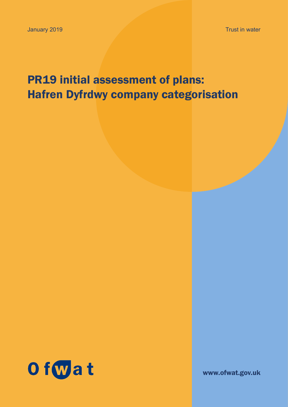# PR19 initial assessment of plans: Hafren Dyfrdwy company categorisation



www.ofwat.gov.uk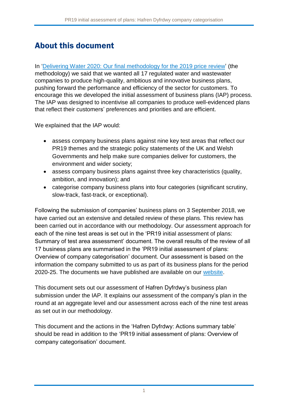### About this document

In ['Delivering Water 2020: Our final methodology for the 2019 price review'](https://www.ofwat.gov.uk/wp-content/uploads/2017/12/Final-methodology-1.pdf) (the methodology) we said that we wanted all 17 regulated water and wastewater companies to produce high-quality, ambitious and innovative business plans, pushing forward the performance and efficiency of the sector for customers. To encourage this we developed the initial assessment of business plans (IAP) process. The IAP was designed to incentivise all companies to produce well-evidenced plans that reflect their customers' preferences and priorities and are efficient.

We explained that the IAP would:

- assess company business plans against nine key test areas that reflect our PR19 themes and the strategic policy statements of the UK and Welsh Governments and help make sure companies deliver for customers, the environment and wider society;
- assess company business plans against three key characteristics (quality, ambition, and innovation); and
- categorise company business plans into four categories (significant scrutiny, slow-track, fast-track, or exceptional).

Following the submission of companies' business plans on 3 September 2018, we have carried out an extensive and detailed review of these plans. This review has been carried out in accordance with our methodology. Our assessment approach for each of the nine test areas is set out in the 'PR19 initial assessment of plans: Summary of test area assessment' document. The overall results of the review of all 17 business plans are summarised in the 'PR19 initial assessment of plans: Overview of company categorisation' document. Our assessment is based on the information the company submitted to us as part of its business plans for the period 2020-25. The documents we have published are available on our [website.](https://www.ofwat.gov.uk/regulated-companies/price-review/2019-price-review/initial-assessment-of-plans/)

This document sets out our assessment of Hafren Dyfrdwy's business plan submission under the IAP. It explains our assessment of the company's plan in the round at an aggregate level and our assessment across each of the nine test areas as set out in our methodology.

This document and the actions in the 'Hafren Dyfrdwy: Actions summary table' should be read in addition to the 'PR19 initial assessment of plans: Overview of company categorisation' document.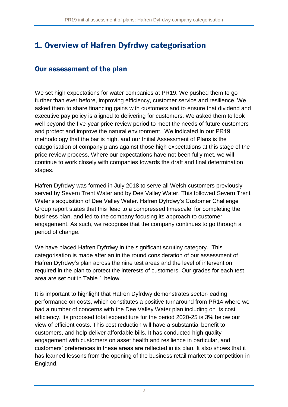### 1. Overview of Hafren Dyfrdwy categorisation

### Our assessment of the plan

We set high expectations for water companies at PR19. We pushed them to go further than ever before, improving efficiency, customer service and resilience. We asked them to share financing gains with customers and to ensure that dividend and executive pay policy is aligned to delivering for customers. We asked them to look well beyond the five-year price review period to meet the needs of future customers and protect and improve the natural environment.  We indicated in our PR19 methodology that the bar is high, and our Initial Assessment of Plans is the categorisation of company plans against those high expectations at this stage of the price review process. Where our expectations have not been fully met, we will continue to work closely with companies towards the draft and final determination stages.

Hafren Dyfrdwy was formed in July 2018 to serve all Welsh customers previously served by Severn Trent Water and by Dee Valley Water. This followed Severn Trent Water's acquisition of Dee Valley Water. Hafren Dyfrdwy's Customer Challenge Group report states that this 'lead to a compressed timescale' for completing the business plan, and led to the company focusing its approach to customer engagement. As such, we recognise that the company continues to go through a period of change.

We have placed Hafren Dyfrdwy in the significant scrutiny category. This categorisation is made after an in the round consideration of our assessment of Hafren Dyfrdwy's plan across the nine test areas and the level of intervention required in the plan to protect the interests of customers. Our grades for each test area are set out in Table 1 below.

It is important to highlight that Hafren Dyfrdwy demonstrates sector-leading performance on costs, which constitutes a positive turnaround from PR14 where we had a number of concerns with the Dee Valley Water plan including on its cost efficiency. Its proposed total expenditure for the period 2020-25 is 3% below our view of efficient costs. This cost reduction will have a substantial benefit to customers, and help deliver affordable bills. It has conducted high quality engagement with customers on asset health and resilience in particular, and customers' preferences in these areas are reflected in its plan. It also shows that it has learned lessons from the opening of the business retail market to competition in England.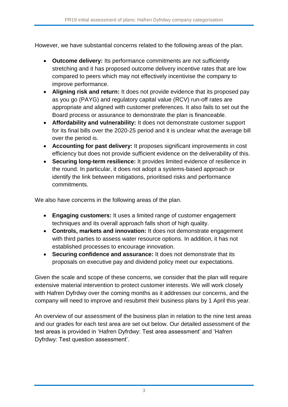However, we have substantial concerns related to the following areas of the plan.

- **Outcome delivery:** Its performance commitments are not sufficiently stretching and it has proposed outcome delivery incentive rates that are low compared to peers which may not effectively incentivise the company to improve performance.
- **Aligning risk and return:** It does not provide evidence that its proposed pay as you go (PAYG) and regulatory capital value (RCV) run-off rates are appropriate and aligned with customer preferences. It also fails to set out the Board process or assurance to demonstrate the plan is financeable.
- **Affordability and vulnerability:** It does not demonstrate customer support for its final bills over the 2020-25 period and it is unclear what the average bill over the period is.
- **Accounting for past delivery:** It proposes significant improvements in cost efficiency but does not provide sufficient evidence on the deliverability of this.
- **Securing long-term resilience:** It provides limited evidence of resilience in the round. In particular, it does not adopt a systems-based approach or identify the link between mitigations, prioritised risks and performance commitments.

We also have concerns in the following areas of the plan.

- **Engaging customers:** It uses a limited range of customer engagement techniques and its overall approach falls short of high quality.
- **Controls, markets and innovation:** It does not demonstrate engagement with third parties to assess water resource options. In addition, it has not established processes to encourage innovation.
- **Securing confidence and assurance:** It does not demonstrate that its proposals on executive pay and dividend policy meet our expectations.

Given the scale and scope of these concerns, we consider that the plan will require extensive material intervention to protect customer interests. We will work closely with Hafren Dyfrdwy over the coming months as it addresses our concerns, and the company will need to improve and resubmit their business plans by 1 April this year.

An overview of our assessment of the business plan in relation to the nine test areas and our grades for each test area are set out below. Our detailed assessment of the test areas is provided in 'Hafren Dyfrdwy: Test area assessment' and 'Hafren Dyfrdwy: Test question assessment'.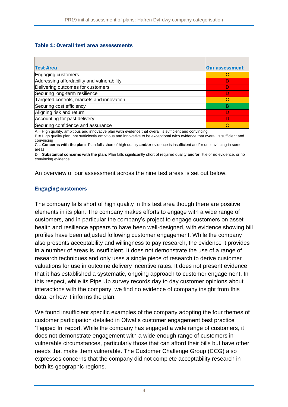#### Table 1: Overall test area assessments

| <b>Test Area</b>                           | <b>Our assessment</b> |
|--------------------------------------------|-----------------------|
| Engaging customers                         |                       |
| Addressing affordability and vulnerability |                       |
| Delivering outcomes for customers          |                       |
| Securing long-term resilience              |                       |
| Targeted controls, markets and innovation  |                       |
| Securing cost efficiency                   | в                     |
| Aligning risk and return                   |                       |
| Accounting for past delivery               |                       |
| Securing confidence and assurance          |                       |

A = High quality, ambitious and innovative plan **with** evidence that overall is sufficient and convincing

B = High quality plan, not sufficiently ambitious and innovative to be exceptional **with** evidence that overall is sufficient and convincing

C = **Concerns with the plan:** Plan falls short of high quality **and/or** evidence is insufficient and/or unconvincing in some areas

D = **Substantial concerns with the plan:** Plan falls significantly short of required quality **and/or** little or no evidence, or no convincing evidence

An overview of our assessment across the nine test areas is set out below.

#### Engaging customers

The company falls short of high quality in this test area though there are positive elements in its plan. The company makes efforts to engage with a wide range of customers, and in particular the company's project to engage customers on asset health and resilience appears to have been well-designed, with evidence showing bill profiles have been adjusted following customer engagement. While the company also presents acceptability and willingness to pay research, the evidence it provides in a number of areas is insufficient. It does not demonstrate the use of a range of research techniques and only uses a single piece of research to derive customer valuations for use in outcome delivery incentive rates. It does not present evidence that it has established a systematic, ongoing approach to customer engagement. In this respect, while its Pipe Up survey records day to day customer opinions about interactions with the company, we find no evidence of company insight from this data, or how it informs the plan.

We found insufficient specific examples of the company adopting the four themes of customer participation detailed in Ofwat's customer engagement best practice 'Tapped In' report. While the company has engaged a wide range of customers, it does not demonstrate engagement with a wide enough range of customers in vulnerable circumstances, particularly those that can afford their bills but have other needs that make them vulnerable. The Customer Challenge Group (CCG) also expresses concerns that the company did not complete acceptability research in both its geographic regions.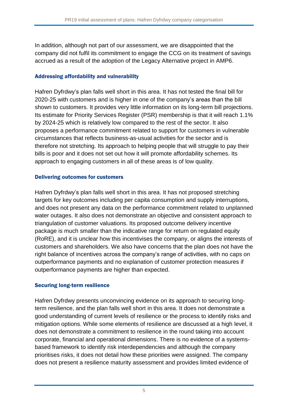In addition, although not part of our assessment, we are disappointed that the company did not fulfil its commitment to engage the CCG on its treatment of savings accrued as a result of the adoption of the Legacy Alternative project in AMP6.

#### Addressing affordability and vulnerability

Hafren Dyfrdwy's plan falls well short in this area. It has not tested the final bill for 2020-25 with customers and is higher in one of the company's areas than the bill shown to customers. It provides very little information on its long-term bill projections. Its estimate for Priority Services Register (PSR) membership is that it will reach 1.1% by 2024-25 which is relatively low compared to the rest of the sector. It also proposes a performance commitment related to support for customers in vulnerable circumstances that reflects business-as-usual activities for the sector and is therefore not stretching. Its approach to helping people that will struggle to pay their bills is poor and it does not set out how it will promote affordability schemes. Its approach to engaging customers in all of these areas is of low quality.

#### Delivering outcomes for customers

Hafren Dyfrdwy's plan falls well short in this area. It has not proposed stretching targets for key outcomes including per capita consumption and supply interruptions, and does not present any data on the performance commitment related to unplanned water outages. It also does not demonstrate an objective and consistent approach to triangulation of customer valuations. Its proposed outcome delivery incentive package is much smaller than the indicative range for return on regulated equity (RoRE), and it is unclear how this incentivises the company, or aligns the interests of customers and shareholders. We also have concerns that the plan does not have the right balance of incentives across the company's range of activities, with no caps on outperformance payments and no explanation of customer protection measures if outperformance payments are higher than expected.

#### Securing long-term resilience

Hafren Dyfrdwy presents unconvincing evidence on its approach to securing longterm resilience, and the plan falls well short in this area. It does not demonstrate a good understanding of current levels of resilience or the process to identify risks and mitigation options. While some elements of resilience are discussed at a high level, it does not demonstrate a commitment to resilience in the round taking into account corporate, financial and operational dimensions. There is no evidence of a systemsbased framework to identify risk interdependencies and although the company prioritises risks, it does not detail how these priorities were assigned. The company does not present a resilience maturity assessment and provides limited evidence of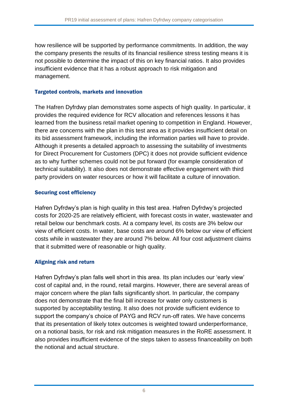how resilience will be supported by performance commitments. In addition, the way the company presents the results of its financial resilience stress testing means it is not possible to determine the impact of this on key financial ratios. It also provides insufficient evidence that it has a robust approach to risk mitigation and management.

#### Targeted controls, markets and innovation

The Hafren Dyfrdwy plan demonstrates some aspects of high quality. In particular, it provides the required evidence for RCV allocation and references lessons it has learned from the business retail market opening to competition in England. However, there are concerns with the plan in this test area as it provides insufficient detail on its bid assessment framework, including the information parties will have to provide. Although it presents a detailed approach to assessing the suitability of investments for Direct Procurement for Customers (DPC) it does not provide sufficient evidence as to why further schemes could not be put forward (for example consideration of technical suitability). It also does not demonstrate effective engagement with third party providers on water resources or how it will facilitate a culture of innovation.

#### Securing cost efficiency

Hafren Dyfrdwy's plan is high quality in this test area. Hafren Dyfrdwy's projected costs for 2020-25 are relatively efficient, with forecast costs in water, wastewater and retail below our benchmark costs. At a company level, its costs are 3% below our view of efficient costs. In water, base costs are around 6% below our view of efficient costs while in wastewater they are around 7% below. All four cost adjustment claims that it submitted were of reasonable or high quality.

#### Aligning risk and return

Hafren Dyfrdwy's plan falls well short in this area. Its plan includes our 'early view' cost of capital and, in the round, retail margins. However, there are several areas of major concern where the plan falls significantly short. In particular, the company does not demonstrate that the final bill increase for water only customers is supported by acceptability testing. It also does not provide sufficient evidence to support the company's choice of PAYG and RCV run-off rates. We have concerns that its presentation of likely totex outcomes is weighted toward underperformance, on a notional basis, for risk and risk mitigation measures in the RoRE assessment. It also provides insufficient evidence of the steps taken to assess financeability on both the notional and actual structure.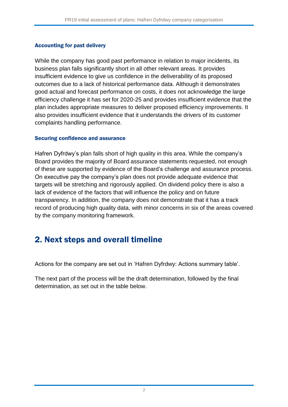#### Accounting for past delivery

While the company has good past performance in relation to major incidents, its business plan falls significantly short in all other relevant areas. It provides insufficient evidence to give us confidence in the deliverability of its proposed outcomes due to a lack of historical performance data. Although it demonstrates good actual and forecast performance on costs, it does not acknowledge the large efficiency challenge it has set for 2020-25 and provides insufficient evidence that the plan includes appropriate measures to deliver proposed efficiency improvements. It also provides insufficient evidence that it understands the drivers of its customer complaints handling performance.

#### Securing confidence and assurance

Hafren Dyfrdwy's plan falls short of high quality in this area. While the company's Board provides the majority of Board assurance statements requested, not enough of these are supported by evidence of the Board's challenge and assurance process. On executive pay the company's plan does not provide adequate evidence that targets will be stretching and rigorously applied. On dividend policy there is also a lack of evidence of the factors that will influence the policy and on future transparency. In addition, the company does not demonstrate that it has a track record of producing high quality data, with minor concerns in six of the areas covered by the company monitoring framework.

### 2. Next steps and overall timeline

Actions for the company are set out in 'Hafren Dyfrdwy: Actions summary table'.

The next part of the process will be the draft determination, followed by the final determination, as set out in the table below.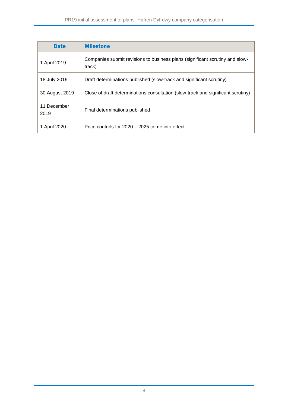| <b>Date</b>         | <b>Milestone</b>                                                                       |
|---------------------|----------------------------------------------------------------------------------------|
| 1 April 2019        | Companies submit revisions to business plans (significant scrutiny and slow-<br>track) |
| 18 July 2019        | Draft determinations published (slow-track and significant scrutiny)                   |
| 30 August 2019      | Close of draft determinations consultation (slow-track and significant scrutiny)       |
| 11 December<br>2019 | Final determinations published                                                         |
| April 2020          | Price controls for 2020 – 2025 come into effect                                        |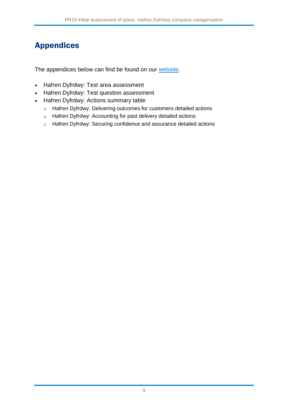## Appendices

The appendices below can find be found on our [website.](https://www.ofwat.gov.uk/regulated-companies/price-review/2019-price-review/initial-assessment-of-plans/)

- Hafren Dyfrdwy: Test area assessment
- Hafren Dyfrdwy: Test question assessment
- Hafren Dyfrdwy: Actions summary table
	- o Hafren Dyfrdwy: Delivering outcomes for customers detailed actions
	- o Hafren Dyfrdwy: Accounting for past delivery detailed actions
	- o Hafren Dyfrdwy: Securing confidence and assurance detailed actions